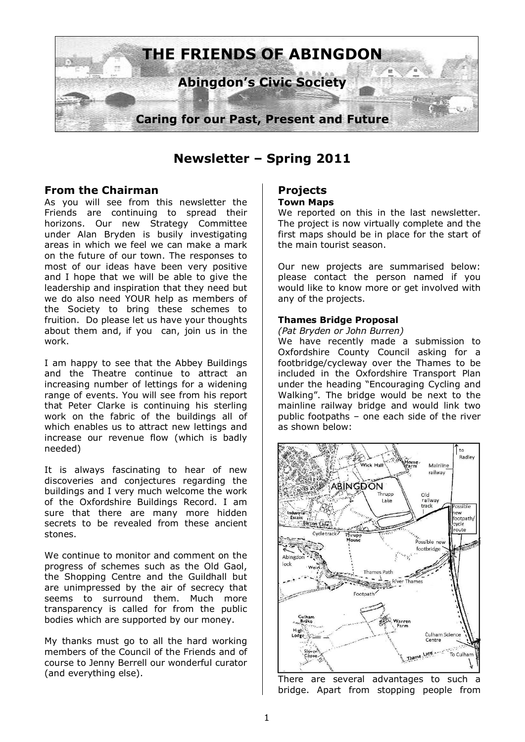

**Newsletter – Spring 2011** 

## **From the Chairman**

As you will see from this newsletter the Friends are continuing to spread their horizons. Our new Strategy Committee under Alan Bryden is busily investigating areas in which we feel we can make a mark on the future of our town. The responses to most of our ideas have been very positive and I hope that we will be able to give the leadership and inspiration that they need but we do also need YOUR help as members of the Society to bring these schemes to fruition. Do please let us have your thoughts about them and, if you can, join us in the work.

I am happy to see that the Abbey Buildings and the Theatre continue to attract an increasing number of lettings for a widening range of events. You will see from his report that Peter Clarke is continuing his sterling work on the fabric of the buildings all of which enables us to attract new lettings and increase our revenue flow (which is badly needed)

It is always fascinating to hear of new discoveries and conjectures regarding the buildings and I very much welcome the work of the Oxfordshire Buildings Record. I am sure that there are many more hidden secrets to be revealed from these ancient stones.

We continue to monitor and comment on the progress of schemes such as the Old Gaol, the Shopping Centre and the Guildhall but are unimpressed by the air of secrecy that seems to surround them. Much more transparency is called for from the public bodies which are supported by our money.

My thanks must go to all the hard working members of the Council of the Friends and of course to Jenny Berrell our wonderful curator (and everything else).

#### **Projects Town Maps**

We reported on this in the last newsletter. The project is now virtually complete and the first maps should be in place for the start of the main tourist season.

Our new projects are summarised below: please contact the person named if you would like to know more or get involved with any of the projects.

### **Thames Bridge Proposal**

*(Pat Bryden or John Burren)* 

We have recently made a submission to Oxfordshire County Council asking for a footbridge/cycleway over the Thames to be included in the Oxfordshire Transport Plan under the heading "Encouraging Cycling and Walking". The bridge would be next to the mainline railway bridge and would link two public footpaths – one each side of the river as shown below:



There are several advantages to such a bridge. Apart from stopping people from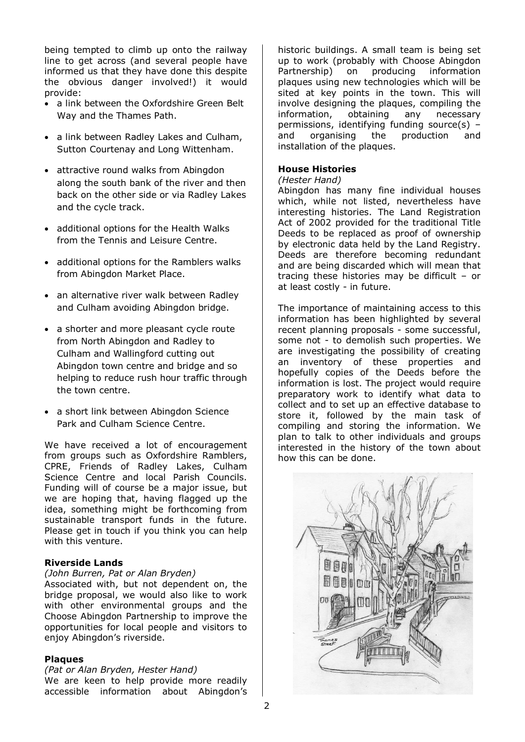being tempted to climb up onto the railway line to get across (and several people have informed us that they have done this despite the obvious danger involved!) it would provide:

- a link between the Oxfordshire Green Belt Way and the Thames Path.
- a link between Radley Lakes and Culham, Sutton Courtenay and Long Wittenham.
- attractive round walks from Abingdon along the south bank of the river and then back on the other side or via Radley Lakes and the cycle track.
- additional options for the Health Walks from the Tennis and Leisure Centre.
- additional options for the Ramblers walks from Abingdon Market Place.
- an alternative river walk between Radley and Culham avoiding Abingdon bridge.
- a shorter and more pleasant cycle route from North Abingdon and Radley to Culham and Wallingford cutting out Abingdon town centre and bridge and so helping to reduce rush hour traffic through the town centre.
- a short link between Abingdon Science Park and Culham Science Centre.

We have received a lot of encouragement from groups such as Oxfordshire Ramblers, CPRE, Friends of Radley Lakes, Culham Science Centre and local Parish Councils. Funding will of course be a major issue, but we are hoping that, having flagged up the idea, something might be forthcoming from sustainable transport funds in the future. Please get in touch if you think you can help with this venture.

#### **Riverside Lands**

#### *(John Burren, Pat or Alan Bryden)*

Associated with, but not dependent on, the bridge proposal, we would also like to work with other environmental groups and the Choose Abingdon Partnership to improve the opportunities for local people and visitors to enjoy Abingdon's riverside.

#### **Plaques**

#### *(Pat or Alan Bryden, Hester Hand)*

We are keen to help provide more readily accessible information about Abingdon's historic buildings. A small team is being set up to work (probably with Choose Abingdon Partnership) on producing information plaques using new technologies which will be sited at key points in the town. This will involve designing the plaques, compiling the information, obtaining any necessary permissions, identifying funding source(s) – and organising the production and installation of the plaques.

#### **House Histories**

#### *(Hester Hand)*

Abingdon has many fine individual houses which, while not listed, nevertheless have interesting histories. The Land Registration Act of 2002 provided for the traditional Title Deeds to be replaced as proof of ownership by electronic data held by the Land Registry. Deeds are therefore becoming redundant and are being discarded which will mean that tracing these histories may be difficult – or at least costly - in future.

The importance of maintaining access to this information has been highlighted by several recent planning proposals - some successful, some not - to demolish such properties. We are investigating the possibility of creating an inventory of these properties and hopefully copies of the Deeds before the information is lost. The project would require preparatory work to identify what data to collect and to set up an effective database to store it, followed by the main task of compiling and storing the information. We plan to talk to other individuals and groups interested in the history of the town about how this can be done.

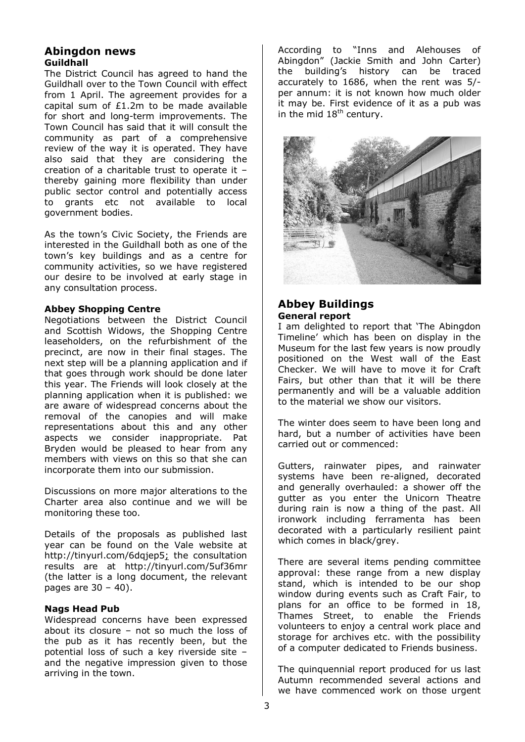## **Abingdon news Guildhall**

The District Council has agreed to hand the Guildhall over to the Town Council with effect from 1 April. The agreement provides for a capital sum of £1.2m to be made available for short and long-term improvements. The Town Council has said that it will consult the community as part of a comprehensive review of the way it is operated. They have also said that they are considering the creation of a charitable trust to operate it – thereby gaining more flexibility than under public sector control and potentially access to grants etc not available to local government bodies.

As the town's Civic Society, the Friends are interested in the Guildhall both as one of the town's key buildings and as a centre for community activities, so we have registered our desire to be involved at early stage in any consultation process.

#### **Abbey Shopping Centre**

Negotiations between the District Council and Scottish Widows, the Shopping Centre leaseholders, on the refurbishment of the precinct, are now in their final stages. The next step will be a planning application and if that goes through work should be done later this year. The Friends will look closely at the planning application when it is published: we are aware of widespread concerns about the removal of the canopies and will make representations about this and any other aspects we consider inappropriate. Pat Bryden would be pleased to hear from any members with views on this so that she can incorporate them into our submission.

Discussions on more major alterations to the Charter area also continue and we will be monitoring these too.

Details of the proposals as published last year can be found on the Vale website at http://tinyurl.com/6dqjep5; the consultation results are at http://tinyurl.com/5uf36mr (the latter is a long document, the relevant pages are  $30 - 40$ ).

## **Nags Head Pub**

Widespread concerns have been expressed about its closure – not so much the loss of the pub as it has recently been, but the potential loss of such a key riverside site – and the negative impression given to those arriving in the town.

According to "Inns and Alehouses of Abingdon" (Jackie Smith and John Carter) the building's history can be traced accurately to 1686, when the rent was 5/ per annum: it is not known how much older it may be. First evidence of it as a pub was in the mid  $18<sup>th</sup>$  century.



## **Abbey Buildings General report**

I am delighted to report that 'The Abingdon Timeline' which has been on display in the Museum for the last few years is now proudly positioned on the West wall of the East Checker. We will have to move it for Craft Fairs, but other than that it will be there permanently and will be a valuable addition to the material we show our visitors.

The winter does seem to have been long and hard, but a number of activities have been carried out or commenced:

Gutters, rainwater pipes, and rainwater systems have been re-aligned, decorated and generally overhauled: a shower off the gutter as you enter the Unicorn Theatre during rain is now a thing of the past. All ironwork including ferramenta has been decorated with a particularly resilient paint which comes in black/grey.

There are several items pending committee approval: these range from a new display stand, which is intended to be our shop window during events such as Craft Fair, to plans for an office to be formed in 18, Thames Street, to enable the Friends volunteers to enjoy a central work place and storage for archives etc. with the possibility of a computer dedicated to Friends business.

The quinquennial report produced for us last Autumn recommended several actions and we have commenced work on those urgent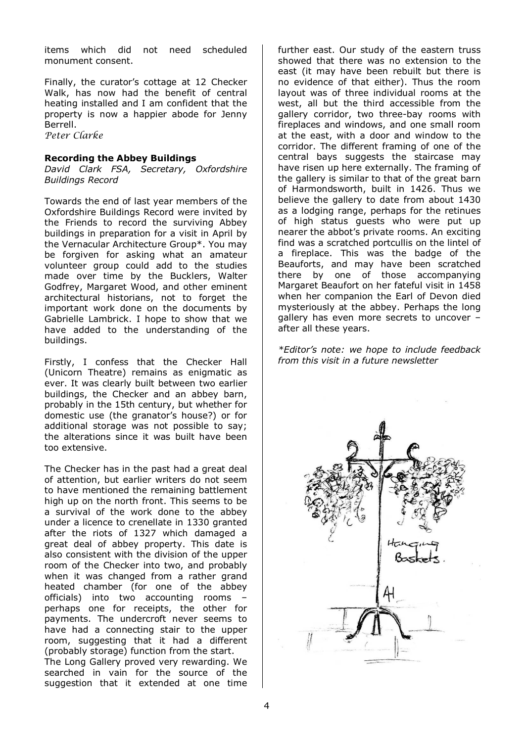items which did not need scheduled monument consent.

Finally, the curator's cottage at 12 Checker Walk, has now had the benefit of central heating installed and I am confident that the property is now a happier abode for Jenny Berrell. Peter Clarke

#### **Recording the Abbey Buildings**

*David Clark FSA, Secretary, Oxfordshire Buildings Record* 

Towards the end of last year members of the Oxfordshire Buildings Record were invited by the Friends to record the surviving Abbey buildings in preparation for a visit in April by the Vernacular Architecture Group\*. You may be forgiven for asking what an amateur volunteer group could add to the studies made over time by the Bucklers, Walter Godfrey, Margaret Wood, and other eminent architectural historians, not to forget the important work done on the documents by Gabrielle Lambrick. I hope to show that we have added to the understanding of the buildings.

Firstly, I confess that the Checker Hall (Unicorn Theatre) remains as enigmatic as ever. It was clearly built between two earlier buildings, the Checker and an abbey barn, probably in the 15th century, but whether for domestic use (the granator's house?) or for additional storage was not possible to say; the alterations since it was built have been too extensive.

The Checker has in the past had a great deal of attention, but earlier writers do not seem to have mentioned the remaining battlement high up on the north front. This seems to be a survival of the work done to the abbey under a licence to crenellate in 1330 granted after the riots of 1327 which damaged a great deal of abbey property. This date is also consistent with the division of the upper room of the Checker into two, and probably when it was changed from a rather grand heated chamber (for one of the abbey officials) into two accounting rooms – perhaps one for receipts, the other for payments. The undercroft never seems to have had a connecting stair to the upper room, suggesting that it had a different (probably storage) function from the start.

The Long Gallery proved very rewarding. We searched in vain for the source of the suggestion that it extended at one time further east. Our study of the eastern truss showed that there was no extension to the east (it may have been rebuilt but there is no evidence of that either). Thus the room layout was of three individual rooms at the west, all but the third accessible from the gallery corridor, two three-bay rooms with fireplaces and windows, and one small room at the east, with a door and window to the corridor. The different framing of one of the central bays suggests the staircase may have risen up here externally. The framing of the gallery is similar to that of the great barn of Harmondsworth, built in 1426. Thus we believe the gallery to date from about 1430 as a lodging range, perhaps for the retinues of high status guests who were put up nearer the abbot's private rooms. An exciting find was a scratched portcullis on the lintel of a fireplace. This was the badge of the Beauforts, and may have been scratched there by one of those accompanying Margaret Beaufort on her fateful visit in 1458 when her companion the Earl of Devon died mysteriously at the abbey. Perhaps the long gallery has even more secrets to uncover – after all these years.

*\*Editor's note: we hope to include feedback from this visit in a future newsletter* 

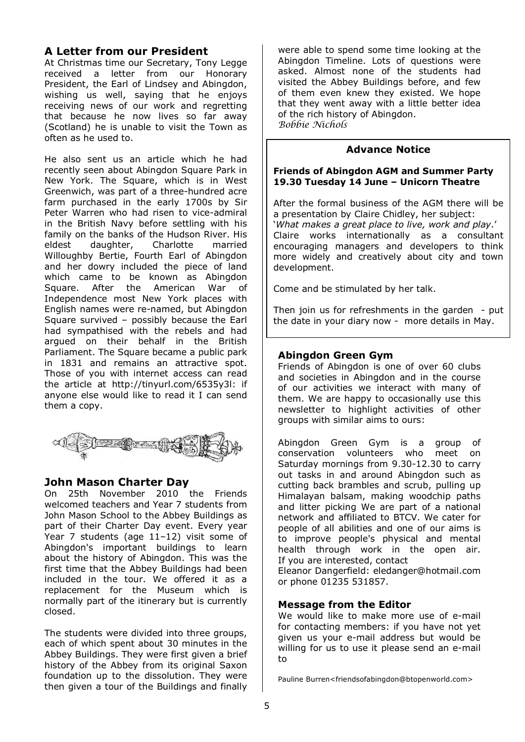# **A Letter from our President**

At Christmas time our Secretary, Tony Legge received a letter from our Honorary President, the Earl of Lindsey and Abingdon, wishing us well, saying that he enjoys receiving news of our work and regretting that because he now lives so far away (Scotland) he is unable to visit the Town as often as he used to.

He also sent us an article which he had recently seen about Abingdon Square Park in New York. The Square, which is in West Greenwich, was part of a three-hundred acre farm purchased in the early 1700s by Sir Peter Warren who had risen to vice-admiral in the British Navy before settling with his family on the banks of the Hudson River. His eldest daughter, Charlotte married Willoughby Bertie, Fourth Earl of Abingdon and her dowry included the piece of land which came to be known as Abingdon Square. After the American War of Independence most New York places with English names were re-named, but Abingdon Square survived – possibly because the Earl had sympathised with the rebels and had argued on their behalf in the British Parliament. The Square became a public park in 1831 and remains an attractive spot. Those of you with internet access can read the article at http://tinyurl.com/6535y3l: if anyone else would like to read it I can send them a copy.



## **John Mason Charter Day**

On 25th November 2010 the Friends welcomed teachers and Year 7 students from John Mason School to the Abbey Buildings as part of their Charter Day event. Every year Year 7 students (age 11–12) visit some of Abingdon's important buildings to learn about the history of Abingdon. This was the first time that the Abbey Buildings had been included in the tour. We offered it as a replacement for the Museum which is normally part of the itinerary but is currently closed.

The students were divided into three groups, each of which spent about 30 minutes in the Abbey Buildings. They were first given a brief history of the Abbey from its original Saxon foundation up to the dissolution. They were then given a tour of the Buildings and finally

were able to spend some time looking at the Abingdon Timeline. Lots of questions were asked. Almost none of the students had visited the Abbey Buildings before, and few of them even knew they existed. We hope that they went away with a little better idea of the rich history of Abingdon. Bobbie Nichols

## **Advance Notice**

#### **Friends of Abingdon AGM and Summer Party 19.30 Tuesday 14 June – Unicorn Theatre**

After the formal business of the AGM there will be a presentation by Claire Chidley, her subject: '*What makes a great place to live, work and play*.' Claire works internationally as a consultant encouraging managers and developers to think more widely and creatively about city and town development.

Come and be stimulated by her talk.

Then join us for refreshments in the garden - put the date in your diary now - more details in May.

## **Abingdon Green Gym**

Friends of Abingdon is one of over 60 clubs and societies in Abingdon and in the course of our activities we interact with many of them. We are happy to occasionally use this newsletter to highlight activities of other groups with similar aims to ours:

Abingdon Green Gym is a group of conservation volunteers who meet on Saturday mornings from 9.30-12.30 to carry out tasks in and around Abingdon such as cutting back brambles and scrub, pulling up Himalayan balsam, making woodchip paths and litter picking We are part of a national network and affiliated to BTCV. We cater for people of all abilities and one of our aims is to improve people's physical and mental health through work in the open air. If you are interested, contact

Eleanor Dangerfield: eledanger@hotmail.com or phone 01235 531857.

## **Message from the Editor**

We would like to make more use of e-mail for contacting members: if you have not yet given us your e-mail address but would be willing for us to use it please send an e-mail to

Pauline Burren<friendsofabingdon@btopenworld.com>